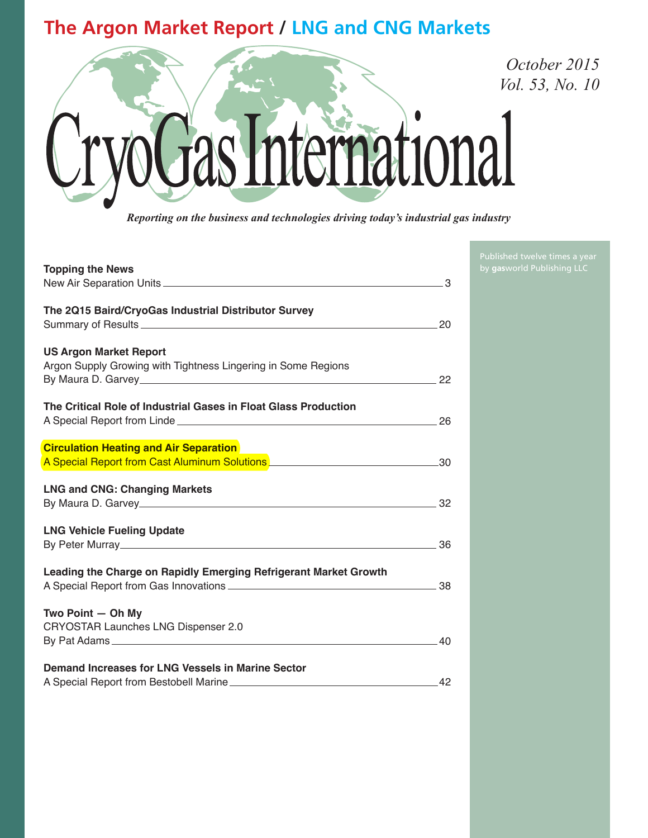## **The Argon Market Report / LNG and CNG Markets**



*Reporting on the business and technologies driving today's industrial gas industry*

| <b>Topping the News</b>                                                                                                     | 3  |
|-----------------------------------------------------------------------------------------------------------------------------|----|
| The 2Q15 Baird/CryoGas Industrial Distributor Survey                                                                        |    |
| <b>US Argon Market Report</b><br>Argon Supply Growing with Tightness Lingering in Some Regions                              |    |
| The Critical Role of Industrial Gases in Float Glass Production                                                             | 26 |
| <b>Circulation Heating and Air Separation</b><br>A Special Report from Cast Aluminum Solutions Manuscription and Solomon 30 |    |
| <b>LNG and CNG: Changing Markets</b>                                                                                        | 32 |
| <b>LNG Vehicle Fueling Update</b>                                                                                           | 36 |
| Leading the Charge on Rapidly Emerging Refrigerant Market Growth                                                            | 38 |
| Two Point - Oh My<br><b>CRYOSTAR Launches LNG Dispenser 2.0</b>                                                             | 40 |
| Demand Increases for LNG Vessels in Marine Sector                                                                           |    |

Published twelve times a year by **gas**world Publishing LLC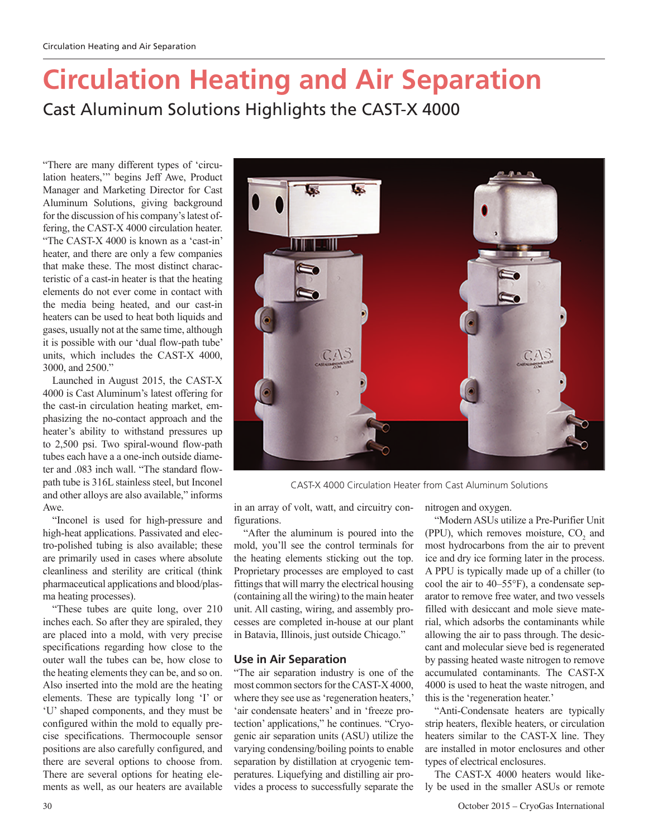# **Circulation Heating and Air Separation** Cast Aluminum Solutions Highlights the CAST-X 4000

"There are many different types of 'circulation heaters,'" begins Jeff Awe, Product Manager and Marketing Director for Cast Aluminum Solutions, giving background for the discussion of his company's latest offering, the CAST-X 4000 circulation heater. "The CAST-X 4000 is known as a 'cast-in' heater, and there are only a few companies that make these. The most distinct characteristic of a cast-in heater is that the heating elements do not ever come in contact with the media being heated, and our cast-in heaters can be used to heat both liquids and gases, usually not at the same time, although it is possible with our 'dual flow-path tube' units, which includes the CAST-X 4000, 3000, and 2500."

Launched in August 2015, the CAST-X 4000 is Cast Aluminum's latest offering for the cast-in circulation heating market, emphasizing the no-contact approach and the heater's ability to withstand pressures up to 2,500 psi. Two spiral-wound flow-path tubes each have a a one-inch outside diameter and .083 inch wall. "The standard flowpath tube is 316L stainless steel, but Inconel and other alloys are also available," informs Awe.

"Inconel is used for high-pressure and high-heat applications. Passivated and electro-polished tubing is also available; these are primarily used in cases where absolute cleanliness and sterility are critical (think pharmaceutical applications and blood/plasma heating processes).

"These tubes are quite long, over 210 inches each. So after they are spiraled, they are placed into a mold, with very precise specifications regarding how close to the outer wall the tubes can be, how close to the heating elements they can be, and so on. Also inserted into the mold are the heating elements. These are typically long 'I' or 'U' shaped components, and they must be configured within the mold to equally precise specifications. Thermocouple sensor positions are also carefully configured, and there are several options to choose from. There are several options for heating elements as well, as our heaters are available



CAST-X 4000 Circulation Heater from Cast Aluminum Solutions

in an array of volt, watt, and circuitry configurations.

"After the aluminum is poured into the mold, you'll see the control terminals for the heating elements sticking out the top. Proprietary processes are employed to cast fittings that will marry the electrical housing (containing all the wiring) to the main heater unit. All casting, wiring, and assembly processes are completed in-house at our plant in Batavia, Illinois, just outside Chicago."

#### **Use in Air Separation**

"The air separation industry is one of the most common sectors for the CAST-X 4000, where they see use as 'regeneration heaters,' 'air condensate heaters' and in 'freeze protection' applications," he continues. "Cryogenic air separation units (ASU) utilize the varying condensing/boiling points to enable separation by distillation at cryogenic temperatures. Liquefying and distilling air provides a process to successfully separate the nitrogen and oxygen.

"Modern ASUs utilize a Pre-Purifier Unit (PPU), which removes moisture,  $CO<sub>2</sub>$  and most hydrocarbons from the air to prevent ice and dry ice forming later in the process. A PPU is typically made up of a chiller (to cool the air to 40–55°F), a condensate separator to remove free water, and two vessels filled with desiccant and mole sieve material, which adsorbs the contaminants while allowing the air to pass through. The desiccant and molecular sieve bed is regenerated by passing heated waste nitrogen to remove accumulated contaminants. The CAST-X 4000 is used to heat the waste nitrogen, and this is the 'regeneration heater.'

"Anti-Condensate heaters are typically strip heaters, flexible heaters, or circulation heaters similar to the CAST-X line. They are installed in motor enclosures and other types of electrical enclosures.

The CAST-X 4000 heaters would likely be used in the smaller ASUs or remote